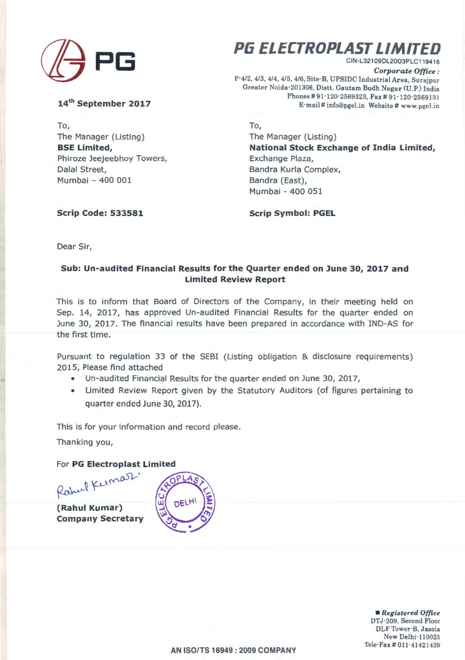

**14th September 2017** 

To, The Manager (Listing) **BSE Limited,**  Phiroze Jeejeebhoy Towers, Dalal Street, Mumbai - 400 001

**PG ELECTROPLAST LIMITED**  CIN-L321 09DL2003PLC119416

*Corporate Office:*  P-4/2, 4/3, 4/4, 4/5, 4/6, Site-B, UPSIDC Industrial Area, Surajpur Greater Noida -201306, Distt. Gautam Budh Nagar (U.P.) India Phones # 91-120-2569323, Fax # 91-120-2569131 E-mail# info@pgel.in Website# www.pgel.in

To, The Manager (Listing) **National Stock Exchange of India Limited,**  Exchange Plaza, Bandra Kurla Complex, Bandra (East), Mumbai - 400 051

**Scrip Symbol: PGEL** 

**Scrip Code: 533581** 

Dear Sir,

## **Sub: Un-audited Financial Results for the Quarter ended on June 30, 2017 and Limited Review Report**

This is to inform that Board of Directors of the Company, in their meeting held on Sep. 14, 2017, has approved Un-audited Financial Results for the quarter ended on June 30, 2017 . The financial results have been prepared in accordance with IND-AS for the first time.

Pursuant to regulation 33 of the SEBI (Listing obligation & disclosure requirements) 2015, Please find attached

- Un-audited Financial Results for the quarter ended on June 30, 2017,
- Limited Review Report given by the Statutory Auditors (of figures pertaining to quarter ended June 30, 2017).

This is for your information and record please.

Thanking you,

For **PG Electroplast Limited** 

Rabel Kernez

**(Rahul Kumar) Company Secretary** 



• *Registered Office*  DTJ-209, Second Floor DLF Tower·B, Jasola New Delhi-110025 Tele-Fax# 011-41421439

**AN ISO/TS 16949 : 2009 COMPANY**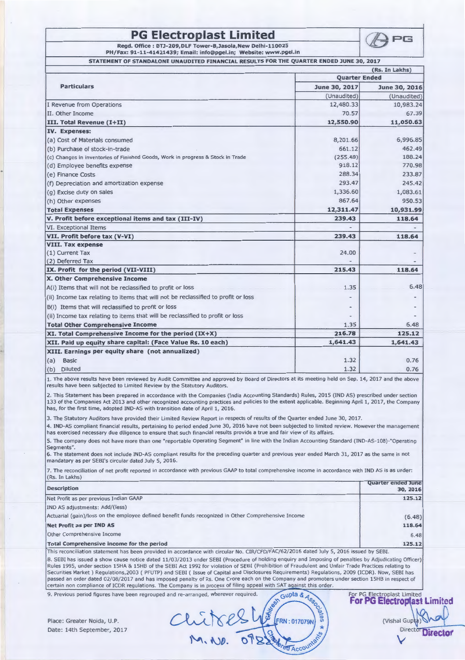## **PG Electroplast Limited APG**

**Regd. Office: DTJ-209,DLF Tower-B,Jasola,New Delhi-110025 PH/Fax: 91-11-41421439; Email: info@pgel.in; Website: www.pgel.in** 

**STATEMENT Of STANDALONE UNAUDITED FINANCIAL RESULTS FOR THE QUARTER ENDED JUNE 30, 2017** 

|                                                                                   | (Rs. In Lakhs)       |               |
|-----------------------------------------------------------------------------------|----------------------|---------------|
| <b>Particulars</b>                                                                | <b>Ouarter Ended</b> |               |
|                                                                                   | June 30, 2017        | June 30, 2016 |
|                                                                                   | (Unaudited)          | (Unaudited)   |
| I Revenue from Operations                                                         | 12,480.33            | 10,983.24     |
| II. Other Income                                                                  | 70.57                | 67.39         |
| III. Total Revenue (I+II)                                                         | 12,550.90            | 11,050.63     |
| IV. Expenses:                                                                     |                      |               |
| (a) Cost of Materials consumed                                                    | 8,201.66             | 6,996.85      |
| (b) Purchase of stock-in-trade                                                    | 661.12               | 462.49        |
| (c) Changes in inventories of Finished Goods, Work in progress & Stock in Trade   | (255.48)             | 188.24        |
| (d) Employee benefits expense                                                     | 918.12               | 770.98        |
| (e) Finance Costs                                                                 | 288.34               | 233.87        |
| (f) Depreciation and amortization expense                                         | 293.47               | 245.42        |
| (q) Excise duty on sales                                                          | 1,336.60             | 1,083.61      |
| (h) Other expenses                                                                | 867.64               | 950.53        |
| <b>Total Expenses</b>                                                             | 12,311.47            | 10,931.99     |
| V. Profit before exceptional items and tax (III-IV)                               | 239.43               | 118.64        |
| VI. Exceptional Items                                                             |                      |               |
| VII. Profit before tax (V-VI)                                                     | 239.43               | 118.64        |
| <b>VIII. Tax expense</b>                                                          |                      |               |
| (1) Current Tax                                                                   | 24.00                |               |
| (2) Deferred Tax                                                                  |                      |               |
| IX. Profit for the period (VII-VIII)                                              | 215.43               | 118.64        |
| X. Other Comprehensive Income                                                     |                      |               |
| A(i) Items that will not be reclassified to profit or loss                        | 1.35                 | 6.48          |
| (ii) Income tax relating to items that will not be reclassified to profit or loss |                      |               |
| B(i) Items that will reclassified to profit or loss                               |                      |               |
| (ii) Income tax relating to items that will be reclassified to profit or loss     |                      |               |
| <b>Total Other Comprehensive Income</b>                                           | 1.35                 | 6.48          |
| XI. Total Comprehensive Income for the period (IX+X)                              | 216.78               | 125.12        |
| XII. Paid up equity share capital: (Face Value Rs. 10 each)                       | 1,641.43             | 1,641.43      |
| XIII. Earnings per equity share (not annualized)                                  |                      |               |
| (a)<br><b>Basic</b>                                                               | 1.32                 | 0.76          |
| (b)<br><b>Diluted</b>                                                             | 1.32                 | 0.76          |

2. This Statement has been prepared in accordance with the Companies (India Accounting Standards) Rules, 2015 (IND AS) prescribed under section 133 of the Companies Act 2013 and other recognized accounting practices and policies to the extent applicable. Beginning April 1, 2017, the Company has, for the first time, adopted IND-AS with transition date of April 1, 2016.

3. The Statutory Auditors have provided their Limited Review Report in respects of results of the Quarter ended June 30, 2017.

4. IND-AS compliant financial results, pertaining to period ended June 30, 2016 have not been subjected to limited review. However the management has exercised necessary due diligence to ensure that such financial results provide a true and fair view of its affairs.

5. The company does not have more than one "reportable Operating Segment" in line with the Indian Accounting Standard (IND-AS-108)-"0perating Segments".

6. The statement does not include IND-AS compliant results for the preceding quarter and previous year ended March 31, 2017 as the same is not mandatory as per SEBI's circular dated July 5, 2016.

7. The reconciliation of net profit reported in accordance with previous GAAP to total comprehensive income in accordance with IND AS is as under: (Rs. In Lakhs)

| <b>Description</b>                                                                                                                                                                                                                                                                                                                                                                       | <b>Quarter ended June</b><br>30, 2016 |
|------------------------------------------------------------------------------------------------------------------------------------------------------------------------------------------------------------------------------------------------------------------------------------------------------------------------------------------------------------------------------------------|---------------------------------------|
| Net Profit as per previous Indian GAAP                                                                                                                                                                                                                                                                                                                                                   | 125.12                                |
| IND AS adjustments: Add/(less)                                                                                                                                                                                                                                                                                                                                                           |                                       |
| Actuarial (gain)/loss on the employee defined benefit funds recognized in Other Comprehensive Income                                                                                                                                                                                                                                                                                     | (6.48)                                |
| Net Profit as per IND AS                                                                                                                                                                                                                                                                                                                                                                 | 118.64                                |
| <b>Other Comprehensive Income</b>                                                                                                                                                                                                                                                                                                                                                        | 6.48                                  |
| Total Comprehensive income for the period<br>$\alpha$ in ingn is is $\alpha$ is $\alpha$ is $\alpha$ is $\alpha$ is $\alpha$ is $\alpha$ is $\alpha$ is $\alpha$ is $\alpha$ is $\alpha$ is $\alpha$ is $\alpha$ is $\alpha$ is $\alpha$ is $\alpha$ is $\alpha$ is $\alpha$ is $\alpha$ is $\alpha$ is $\alpha$ is $\alpha$ is $\alpha$ is $\alpha$ is $\alpha$ is $\alpha$ is $\alpha$ | 125.12                                |

This reconciliation statement has been provided in accordance with circular No. CIR/CFD/FAC/62/2016 dated July 5, 2016 issued by SEBI. 8. SEBI has issued a show cause notice dated 11/03/2013 under SEBI (Procedure of holding enquiry and Imposing of penalties by Adjudicating Officer) Rules 1995, under section 15HA & 15HB of the SEBI Act 1992 for violation of SEBI (Prohibition of Fraudulent and Unfair Trade Practices relating to Securities Market ) Regulations,2003 ( PFUTP} and SEBI ( Issue of Capital and Disclosures Requirements) Regulations, 2009 (!CDR). Now, SEBI has passed an order dated 02/08/2017 and has imposed penalty of Rs. One Crore each on the Company and promoters under section 15HB in respect of passed an order dated 02/08/2017 and has imposed penalty of Rs. One Crore each on the Company and promoters under section 15HB in respect of<br>certain non compliance of ICDR regulations. The Company is in process of filing a

Date: 14th September, 2017

RE FRN : 017079 Place: Greater Noida, U.P.  $Cl_{\text{V}}(R) \leq \bigcup_{\mathcal{L}} \bigcup_{\mathcal{L}} \bigcup_{\mathcal{L}} \bigl[FRN:017079N \bigr] \stackrel{\mathbb{Z}}{\rightsquigarrow}$  (Vishal Gup )  $M \cdot N$ ,  $\overline{O7} 2\frac{1}{2}$   $\times$   $\overline{S}$ 

**For PG Electroplast Limited**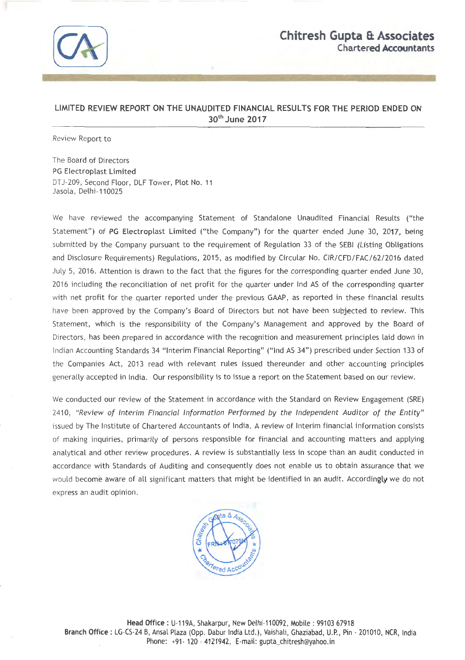

## LIMITED REVIEW REPORT ON THE UNAUDITED FINANCIAL RESULTS FOR THE PERIOD ENDED ON 30th June 2017

Review Report to

The Board of Directors PG Electroplast Limited DTJ-209, Second Floor, DLFTower, Plot No. 11 Jasola, Delhi-110025

We have reviewed the accompanying Statement of Standalone Unaudited Financial Results ("the Statement") of PG Electroplast Limited ("the Company") for the quarter ended June 30, 2017, being submitted by the Company pursuant to the requirement of Regulation 33 of the SEBI (Listing Obligations and Disclosure Requirements) Regulations, 2015, as modified by Circular No. CIR/CFD/FAC/62/2016 dated July 5, 2016. Attention is drawn to the fact that the figures for the corresponding quarter ended June 30, 2016 including the reconciliation of net profit for the quarter under lnd AS of the corresponding quarter with net profit for the quarter reported under the previous GAAP, as reported in these financial results have been approved by the Company's Board of Directors but not have been subjected to review. This Statement, which is the responsibility of the Company's Management and approved by the Board of Directors, has been prepared in accordance with the recognition and measurement principles laid down in Indian Accounting Standards 34 "Interim Financial Reporting" ("lnd AS 34") prescribed under Section 133 of the Companies Act, 2013 read with relevant rules issued thereunder and other accounting principles generally accepted in India. Our responsibility is to issue a report on the Statement based on our review.

We conducted our review of the Statement in accordance with the Standard on Review Engagement (SRE) 2410, "Review of Interim Financial Information Performed by the Independent Auditor of the Entity" issued by The Institute of Chartered Accountants of India. A review of Interim financial information consists of making inquiries, primarily of persons responsible for financial and accounting matters and applying analytical and other review procedures. A review is substantially less in scope than an audit conducted in accordance with Standards of Auditing and consequently does not enable us to obtain assurance that we would become aware of all significant matters that might be identified in an audit. Accordingly we do not express an audit opinion.